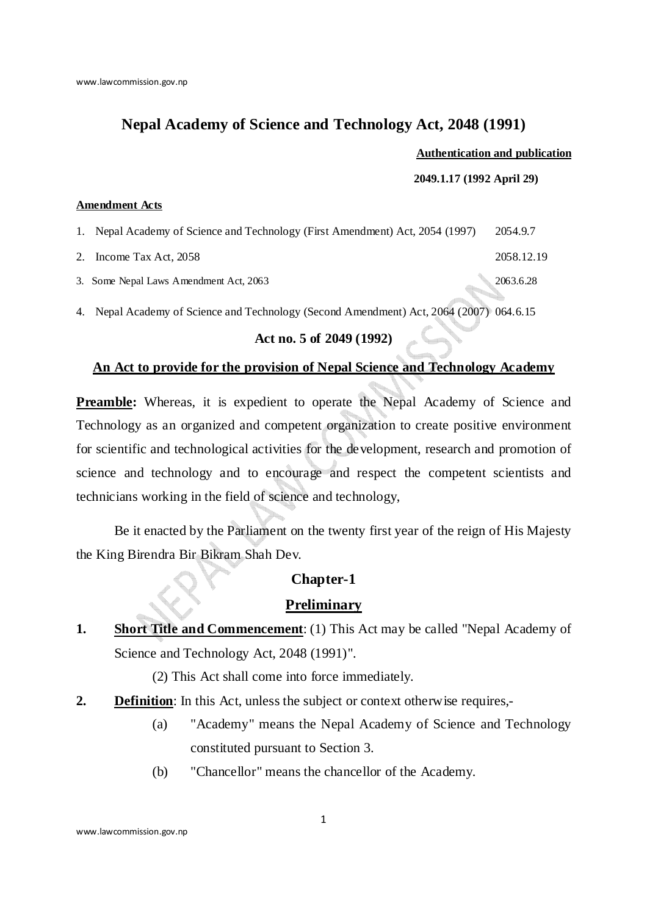# **Nepal Academy of Science and Technology Act, 2048 (1991)**

### **Authentication and publication**

**2049.1.17 (1992 April 29)** 

#### **Amendment Acts**

1. Nepal Academy of Science and Technology (First Amendment) Act, 2054 (1997) 2054.9.7

2. Income Tax Act, 2058 2058.12.19

3. Some Nepal Laws Amendment Act, 2063 2063.6.28

4. Nepal Academy of Science and Technology (Second Amendment) Act, 2064 (2007) 064.6.15

## **Act no. 5 of 2049 (1992)**

# **An Act to provide for the provision of Nepal Science and Technology Academy**

Preamble: Whereas, it is expedient to operate the Nepal Academy of Science and Technology as an organized and competent organization to create positive environment for scientific and technological activities for the development, research and promotion of science and technology and to encourage and respect the competent scientists and technicians working in the field of science and technology,

 Be it enacted by the Parliament on the twenty first year of the reign of His Majesty the King Birendra Bir Bikram Shah Dev.

## **Chapter-1**

# **Preliminary**

**1.** Short Title and Commencement: (1) This Act may be called "Nepal Academy of Science and Technology Act, 2048 (1991)".

(2) This Act shall come into force immediately.

- **2. Definition**: In this Act, unless the subject or context otherwise requires,-
	- (a) "Academy" means the Nepal Academy of Science and Technology constituted pursuant to Section 3.
	- (b) "Chancellor" means the chancellor of the Academy.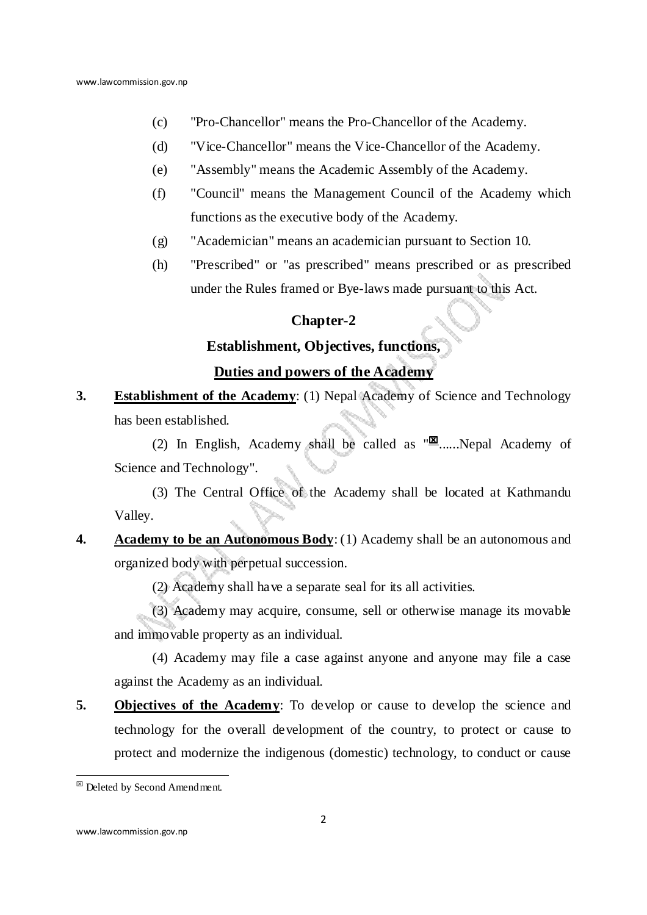- (c) "Pro-Chancellor" means the Pro-Chancellor of the Academy.
- (d) "Vice-Chancellor" means the Vice-Chancellor of the Academy.
- (e) "Assembly" means the Academic Assembly of the Academy.
- (f) "Council" means the Management Council of the Academy which functions as the executive body of the Academy.
- (g) "Academician" means an academician pursuant to Section 10.
- (h) "Prescribed" or "as prescribed" means prescribed or as prescribed under the Rules framed or Bye-laws made pursuant to this Act.

## **Chapter-2**

### **Establishment, Objectives, functions,**

### **Duties and powers of the Academy**

**3.** Establishment of the Academy: (1) Nepal Academy of Science and Technology has been established.

(2) In English, Academy shall be called as  $\sqrt[m]{\mathbb{E}}$ ......Nepal Academy of Science and Technology".

(3) The Central Office of the Academy shall be located at Kathmandu Valley.

**4. Academy to be an Autonomous Body**: (1) Academy shall be an autonomous and organized body with perpetual succession.

(2) Academy shall have a separate seal for its all activities.

(3) Academy may acquire, consume, sell or otherwise manage its movable and immovable property as an individual.

(4) Academy may file a case against anyone and anyone may file a case against the Academy as an individual.

**5. Objectives of the Academy**: To develop or cause to develop the science and technology for the overall development of the country, to protect or cause to protect and modernize the indigenous (domestic) technology, to conduct or cause

**E** Deleted by Second Amendment.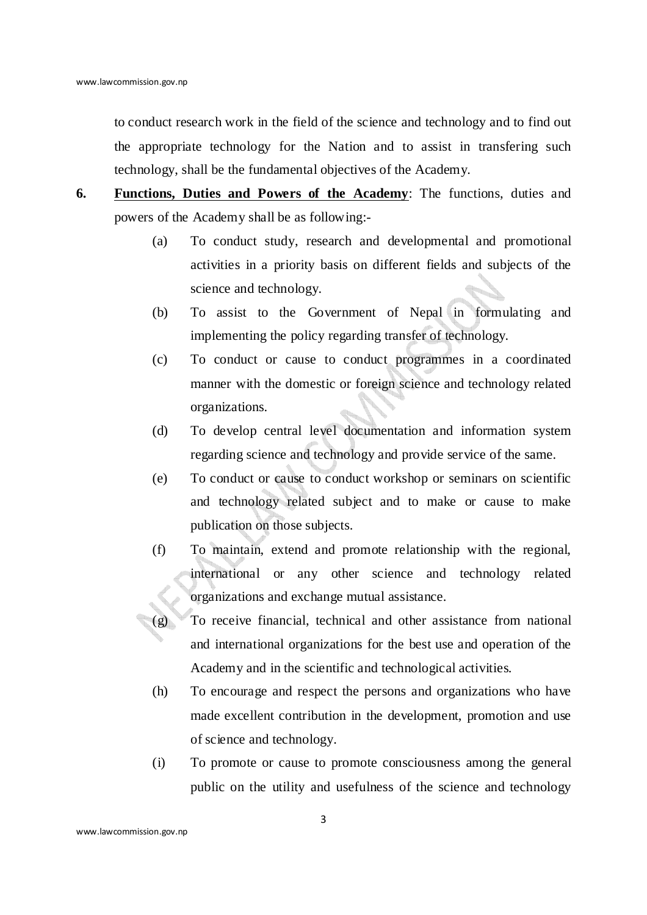to conduct research work in the field of the science and technology and to find out the appropriate technology for the Nation and to assist in transfering such technology, shall be the fundamental objectives of the Academy.

- **6. Functions, Duties and Powers of the Academy**: The functions, duties and powers of the Academy shall be as following:-
	- (a) To conduct study, research and developmental and promotional activities in a priority basis on different fields and subjects of the science and technology.
	- (b) To assist to the Government of Nepal in formulating and implementing the policy regarding transfer of technology.
	- (c) To conduct or cause to conduct programmes in a coordinated manner with the domestic or foreign science and technology related organizations.
	- (d) To develop central level documentation and information system regarding science and technology and provide service of the same.
	- (e) To conduct or cause to conduct workshop or seminars on scientific and technology related subject and to make or cause to make publication on those subjects.
	- (f) To maintain, extend and promote relationship with the regional, international or any other science and technology related organizations and exchange mutual assistance.
	- (g) To receive financial, technical and other assistance from national and international organizations for the best use and operation of the Academy and in the scientific and technological activities.
	- (h) To encourage and respect the persons and organizations who have made excellent contribution in the development, promotion and use of science and technology.
	- (i) To promote or cause to promote consciousness among the general public on the utility and usefulness of the science and technology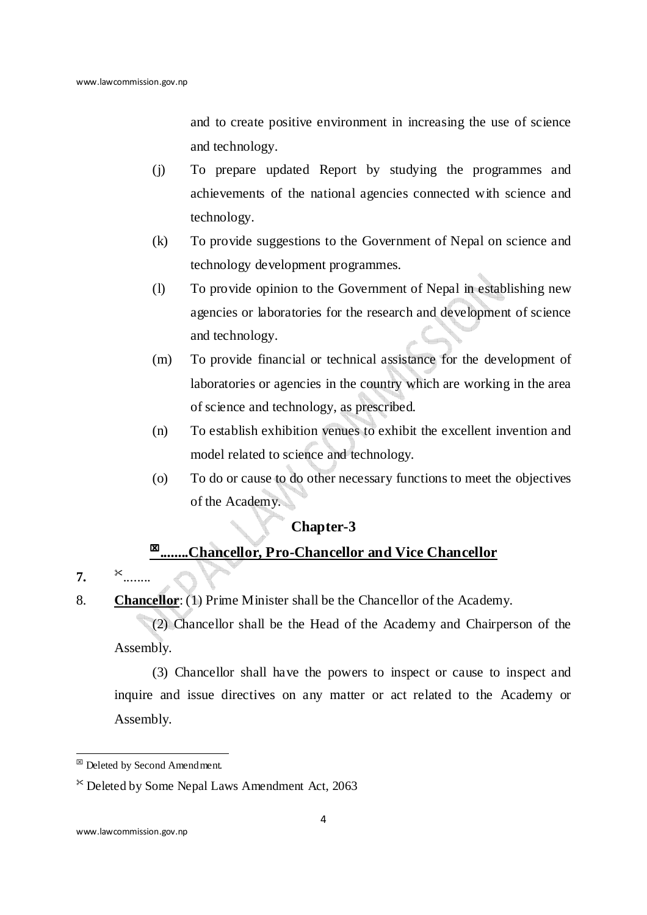and to create positive environment in increasing the use of science and technology.

- (j) To prepare updated Report by studying the programmes and achievements of the national agencies connected with science and technology.
- (k) To provide suggestions to the Government of Nepal on science and technology development programmes.
- (l) To provide opinion to the Government of Nepal in establishing new agencies or laboratories for the research and development of science and technology.
- (m) To provide financial or technical assistance for the development of laboratories or agencies in the country which are working in the area of science and technology, as prescribed.
- (n) To establish exhibition venues to exhibit the excellent invention and model related to science and technology.
- (o) To do or cause to do other necessary functions to meet the objectives of the Academy.

# **Chapter-3**

# **........Chancellor, Pro-Chancellor and Vice Chancellor**

## **7.** ........

.

8. **Chancellor**: (1) Prime Minister shall be the Chancellor of the Academy.

(2) Chancellor shall be the Head of the Academy and Chairperson of the Assembly.

(3) Chancellor shall have the powers to inspect or cause to inspect and inquire and issue directives on any matter or act related to the Academy or Assembly.

 $\boxtimes$  Deleted by Second Amendment.

Deleted by Some Nepal Laws Amendment Act, 2063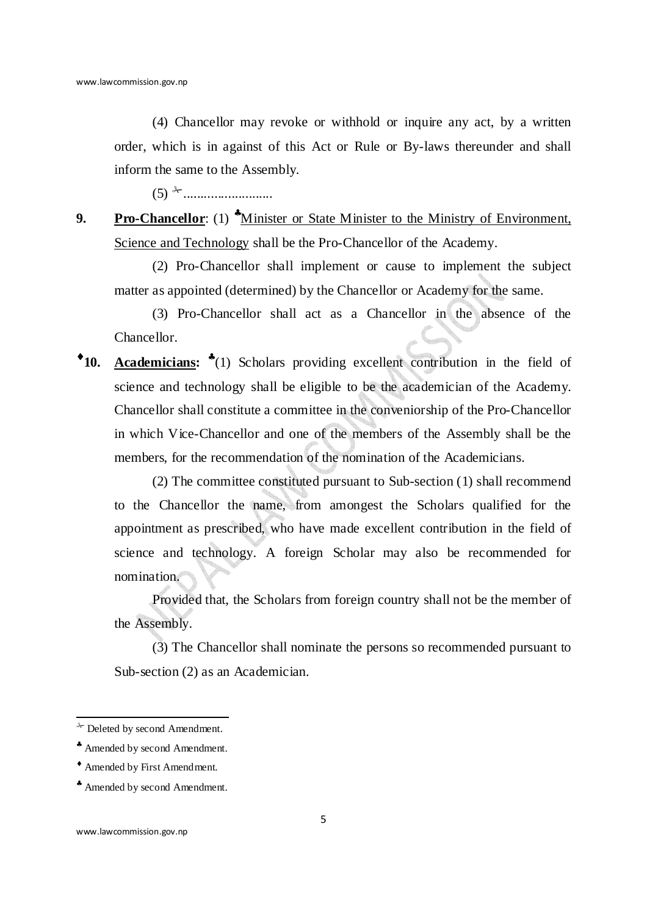(4) Chancellor may revoke or withhold or inquire any act, by a written order, which is in against of this Act or Rule or By-laws thereunder and shall inform the same to the Assembly.

(5) -..........................

**9. Pro-Chancellor**: (1) *\*Minister or State Minister to the Ministry of Environment,* Science and Technology shall be the Pro-Chancellor of the Academy.

(2) Pro-Chancellor shall implement or cause to implement the subject matter as appointed (determined) by the Chancellor or Academy for the same.

(3) Pro-Chancellor shall act as a Chancellor in the absence of the Chancellor.

♦**10. Academicians:** ♣ (1) Scholars providing excellent contribution in the field of science and technology shall be eligible to be the academician of the Academy. Chancellor shall constitute a committee in the conveniorship of the Pro-Chancellor in which Vice-Chancellor and one of the members of the Assembly shall be the members, for the recommendation of the nomination of the Academicians.

(2) The committee constituted pursuant to Sub-section (1) shall recommend to the Chancellor the name, from amongest the Scholars qualified for the appointment as prescribed, who have made excellent contribution in the field of science and technology. A foreign Scholar may also be recommended for nomination.

Provided that, the Scholars from foreign country shall not be the member of the Assembly.

(3) The Chancellor shall nominate the persons so recommended pursuant to Sub-section (2) as an Academician.

 $*$  Deleted by second Amendment.

<sup>♣</sup> Amended by second Amendment.

<sup>♦</sup> Amended by First Amendment.

<sup>♣</sup> Amended by second Amendment.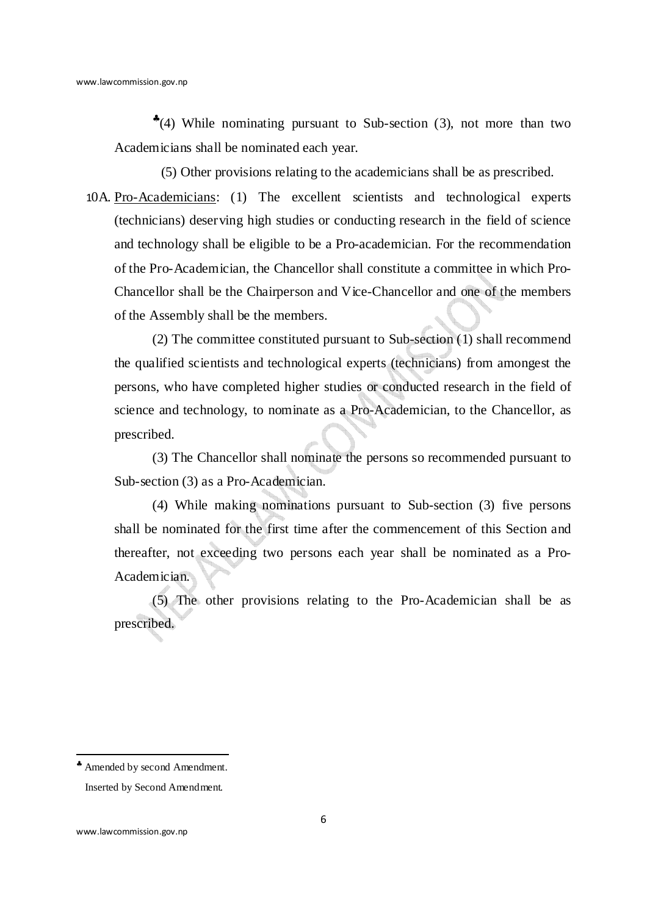♣ (4) While nominating pursuant to Sub-section (3), not more than two Academicians shall be nominated each year.

 $\mathbb{R}^{(5)}$  Other provisions relating to the academicians shall be as prescribed.

 $10A$ . Pro-Academicians: (1) The excellent scientists and technological experts (technicians) deserving high studies or conducting research in the field of science and technology shall be eligible to be a Pro-academician. For the recommendation of the Pro-Academician, the Chancellor shall constitute a committee in which Pro-Chancellor shall be the Chairperson and Vice-Chancellor and one of the members of the Assembly shall be the members.

(2) The committee constituted pursuant to Sub-section (1) shall recommend the qualified scientists and technological experts (technicians) from amongest the persons, who have completed higher studies or conducted research in the field of science and technology, to nominate as a Pro-Academician, to the Chancellor, as prescribed.

(3) The Chancellor shall nominate the persons so recommended pursuant to Sub-section (3) as a Pro-Academician.

(4) While making nominations pursuant to Sub-section (3) five persons shall be nominated for the first time after the commencement of this Section and thereafter, not exceeding two persons each year shall be nominated as a Pro-Academician.

(5) The other provisions relating to the Pro-Academician shall be as prescribed.

<sup>♣</sup> Amended by second Amendment.

<sup>™</sup> Inserted by Second Amendment.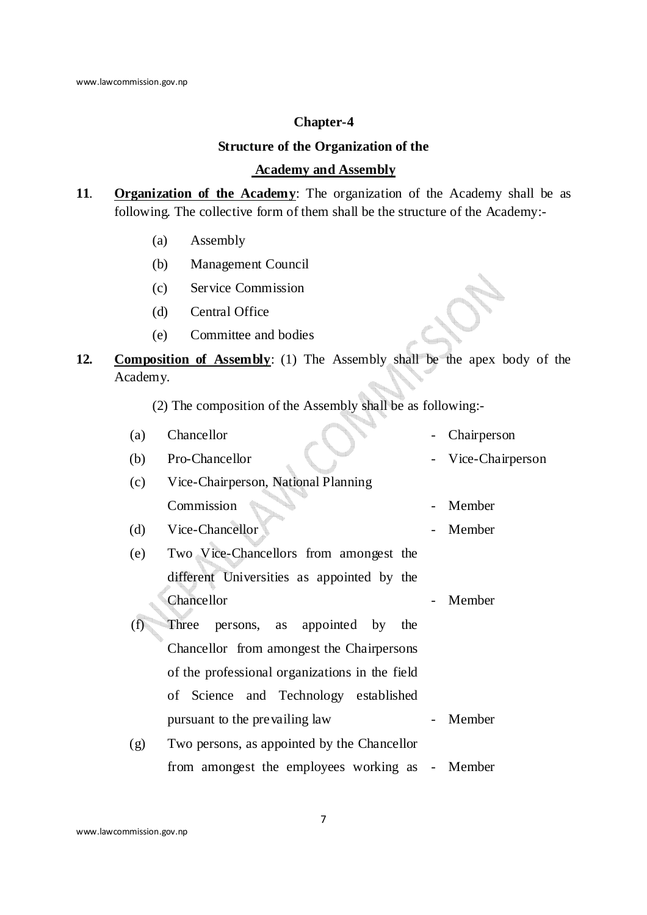### **Chapter-4**

# **Structure of the Organization of the**

## **Academy and Assembly**

- **11**. **Organization of the Academy**: The organization of the Academy shall be as following. The collective form of them shall be the structure of the Academy:-
	- (a) Assembly
	- (b) Management Council
	- (c) Service Commission
	- (d) Central Office
	- (e) Committee and bodies
- **12. Composition of Assembly**: (1) The Assembly shall be the apex body of the Academy.

(2) The composition of the Assembly shall be as following:-

| (a) | Chancellor                                      | Chairperson      |
|-----|-------------------------------------------------|------------------|
| (b) | Pro-Chancellor                                  | Vice-Chairperson |
| (c) | Vice-Chairperson, National Planning             |                  |
|     | Commission                                      | Member           |
| (d) | Vice-Chancellor                                 | Member           |
| (e) | Two Vice-Chancellors from amongest the          |                  |
|     | different Universities as appointed by the      |                  |
|     | Chancellor                                      | Member           |
| (†) | Three<br>persons, as appointed by<br>the        |                  |
|     | Chancellor from amongest the Chairpersons       |                  |
|     | of the professional organizations in the field  |                  |
|     | of Science and Technology established           |                  |
|     | pursuant to the prevailing law                  | Member           |
| (g) | Two persons, as appointed by the Chancellor     |                  |
|     | from amongest the employees working as - Member |                  |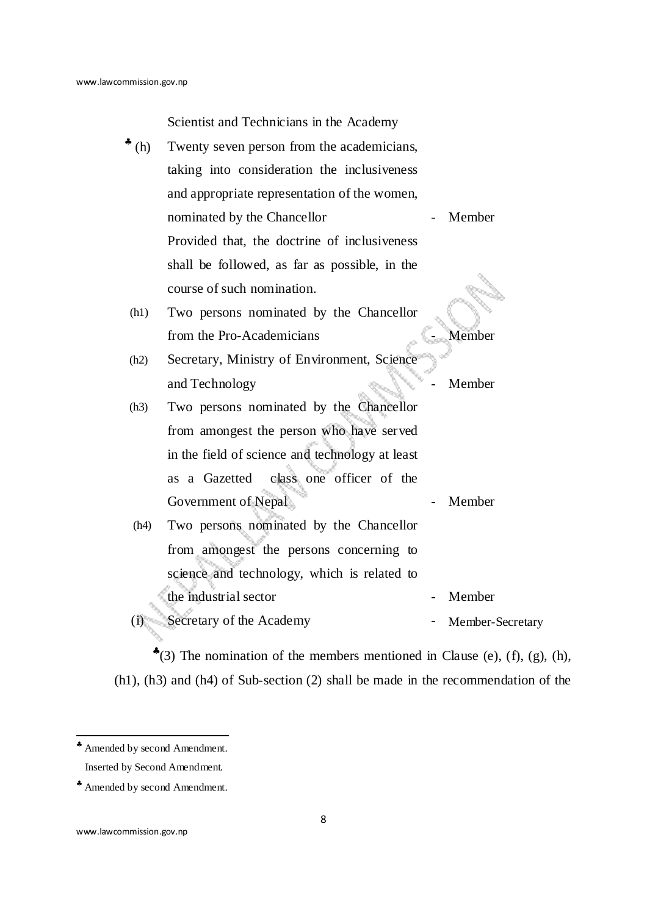Scientist and Technicians in the Academy

| (h)                                          | Twenty seven person from the academicians,      |                  |  |
|----------------------------------------------|-------------------------------------------------|------------------|--|
|                                              | taking into consideration the inclusiveness     |                  |  |
|                                              | and appropriate representation of the women,    |                  |  |
|                                              | nominated by the Chancellor                     | Member           |  |
|                                              | Provided that, the doctrine of inclusiveness    |                  |  |
|                                              | shall be followed, as far as possible, in the   |                  |  |
|                                              | course of such nomination.                      |                  |  |
| $\mathbb{R}^m$ (h1)                          | Two persons nominated by the Chancellor         |                  |  |
|                                              | from the Pro-Academicians                       | Member           |  |
| $\boldsymbol{\Gamma}^{\text{\tiny{M}}}$ (h2) | Secretary, Ministry of Environment, Science     |                  |  |
|                                              | and Technology                                  | Member           |  |
| $\mathbb{R}^m$ (h3)                          | Two persons nominated by the Chancellor         |                  |  |
|                                              | from amongest the person who have served        |                  |  |
|                                              | in the field of science and technology at least |                  |  |
|                                              | as a Gazetted<br>class one officer of the       |                  |  |
|                                              | Government of Nepal                             | Member           |  |
| (h4)                                         | Two persons nominated by the Chancellor         |                  |  |
|                                              | from amongest the persons concerning to         |                  |  |
|                                              | science and technology, which is related to     |                  |  |
|                                              | the industrial sector                           | Member           |  |
| (i)                                          | Secretary of the Academy                        | Member-Secretary |  |
|                                              |                                                 |                  |  |

 $*(3)$  The nomination of the members mentioned in Clause (e), (f), (g), (h), (h1), (h3) and (h4) of Sub-section (2) shall be made in the recommendation of the

 ♣ Amended by second Amendment.

<sup>™</sup> Inserted by Second Amendment.

<sup>♣</sup> Amended by second Amendment.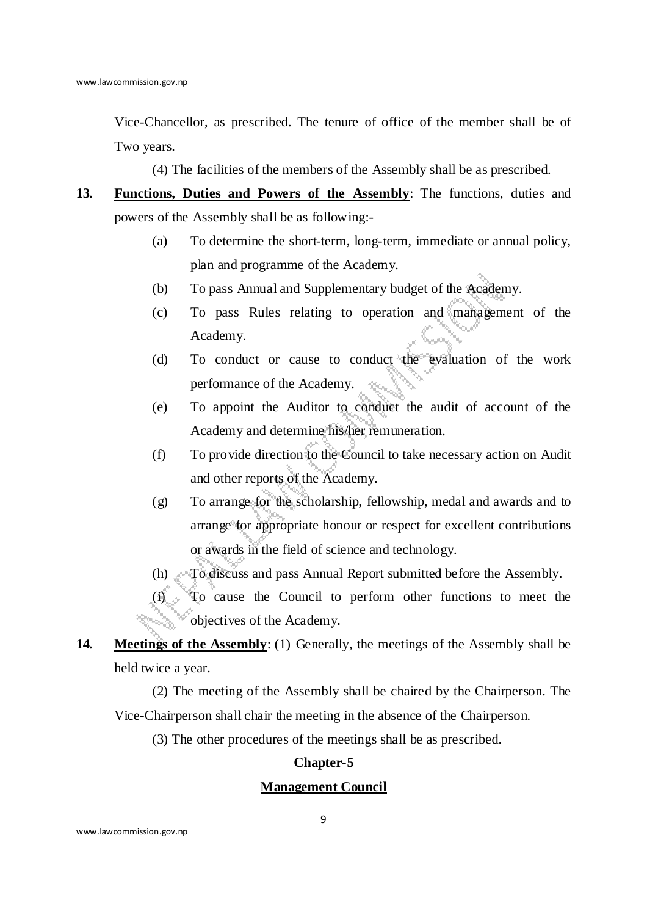Vice-Chancellor, as prescribed. The tenure of office of the member shall be of Two years.

(4) The facilities of the members of the Assembly shall be as prescribed.

- **13. Functions, Duties and Powers of the Assembly**: The functions, duties and powers of the Assembly shall be as following:-
	- (a) To determine the short-term, long-term, immediate or annual policy, plan and programme of the Academy.
	- (b) To pass Annual and Supplementary budget of the Academy.
	- (c) To pass Rules relating to operation and management of the Academy.
	- (d) To conduct or cause to conduct the evaluation of the work performance of the Academy.
	- (e) To appoint the Auditor to conduct the audit of account of the Academy and determine his/her remuneration.
	- (f) To provide direction to the Council to take necessary action on Audit and other reports of the Academy.
	- (g) To arrange for the scholarship, fellowship, medal and awards and to arrange for appropriate honour or respect for excellent contributions or awards in the field of science and technology.
	- (h) To discuss and pass Annual Report submitted before the Assembly.
	- (i) To cause the Council to perform other functions to meet the objectives of the Academy.
- **14. Meetings of the Assembly**: (1) Generally, the meetings of the Assembly shall be held twice a year.

(2) The meeting of the Assembly shall be chaired by the Chairperson. The Vice-Chairperson shall chair the meeting in the absence of the Chairperson.

(3) The other procedures of the meetings shall be as prescribed.

## **Chapter-5**

### **Management Council**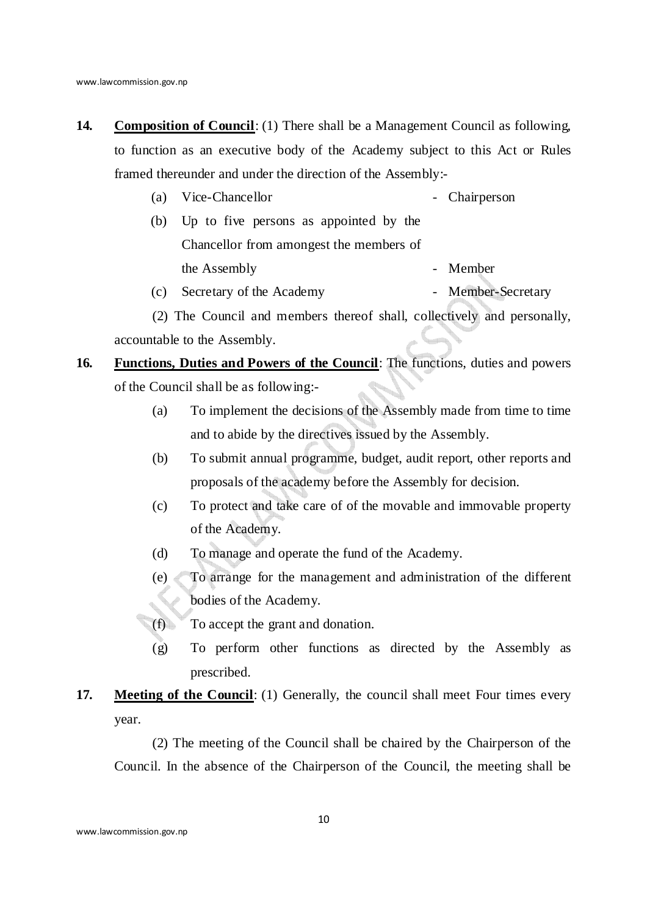- **14. Composition of Council**: (1) There shall be a Management Council as following, to function as an executive body of the Academy subject to this Act or Rules framed thereunder and under the direction of the Assembly:-
	- (a) Vice-Chancellor Chairperson
	- (b) Up to five persons as appointed by the Chancellor from amongest the members of the Assembly **-** Member
	- (c) Secretary of the Academy Member-Secretary

(2) The Council and members thereof shall, collectively and personally, accountable to the Assembly.

- **16. Functions, Duties and Powers of the Council**: The functions, duties and powers of the Council shall be as following:-
	- (a) To implement the decisions of the Assembly made from time to time and to abide by the directives issued by the Assembly.
	- (b) To submit annual programme, budget, audit report, other reports and proposals of the academy before the Assembly for decision.
	- (c) To protect and take care of of the movable and immovable property of the Academy.
	- (d) To manage and operate the fund of the Academy.
	- (e) To arrange for the management and administration of the different bodies of the Academy.
	- (f) To accept the grant and donation.
		- (g) To perform other functions as directed by the Assembly as prescribed.
- **17. Meeting of the Council:** (1) Generally, the council shall meet Four times every year.

(2) The meeting of the Council shall be chaired by the Chairperson of the Council. In the absence of the Chairperson of the Council, the meeting shall be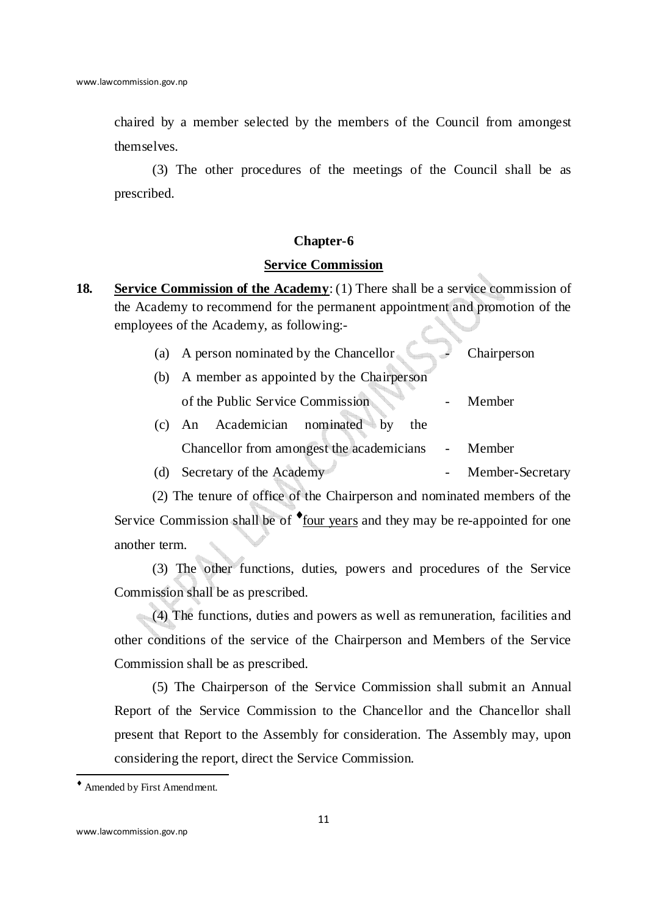chaired by a member selected by the members of the Council from amongest themselves.

(3) The other procedures of the meetings of the Council shall be as prescribed.

#### **Chapter-6**

## **Service Commission**

**18. Service Commission of the Academy**: (1) There shall be a service commission of the Academy to recommend for the permanent appointment and promotion of the employees of the Academy, as following:-

| (a) A person nominated by the Chancellor Chairperson |        |
|------------------------------------------------------|--------|
| (b) A member as appointed by the Chairperson         |        |
| of the Public Service Commission                     | Member |
| (c) An Academician nominated by<br>the               |        |

Chancellor from amongest the academicians - Member

(d) Secretary of the Academy - Member-Secretary

(2) The tenure of office of the Chairperson and nominated members of the Service Commission shall be of  $\bullet$  four years and they may be re-appointed for one another term.

(3) The other functions, duties, powers and procedures of the Service Commission shall be as prescribed.

(4) The functions, duties and powers as well as remuneration, facilities and other conditions of the service of the Chairperson and Members of the Service Commission shall be as prescribed.

(5) The Chairperson of the Service Commission shall submit an Annual Report of the Service Commission to the Chancellor and the Chancellor shall present that Report to the Assembly for consideration. The Assembly may, upon considering the report, direct the Service Commission.

<sup>♦</sup> Amended by First Amendment.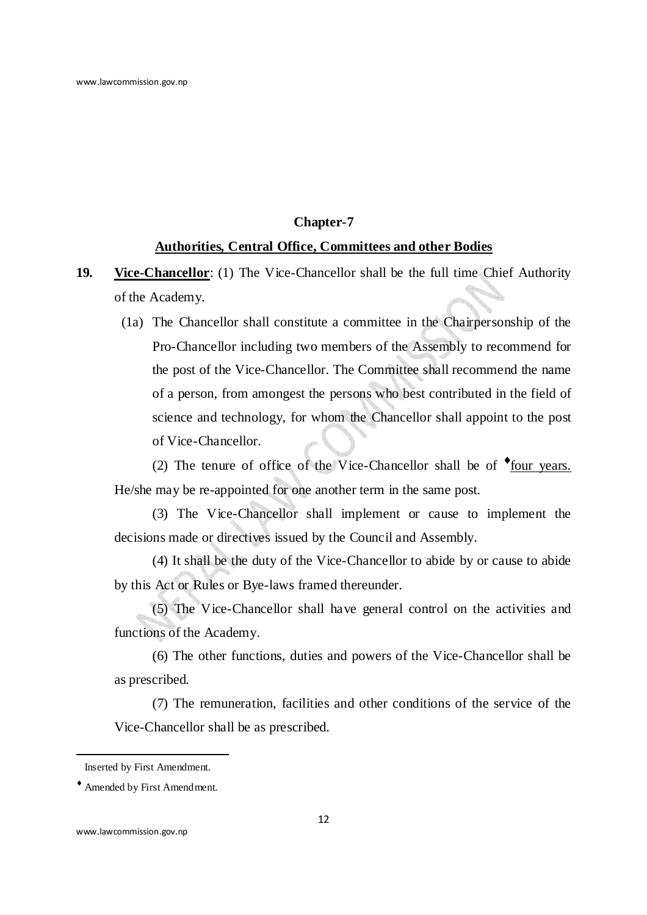### **Chapter-7**

### **Authorities, Central Office, Committees and other Bodies**

- **19. Vice-Chancellor**: (1) The Vice-Chancellor shall be the full time Chief Authority of the Academy.
	- $^{\circledR}(1a)$  The Chancellor shall constitute a committee in the Chairpersonship of the Pro-Chancellor including two members of the Assembly to recommend for the post of the Vice-Chancellor. The Committee shall recommend the name of a person, from amongest the persons who best contributed in the field of science and technology, for whom the Chancellor shall appoint to the post of Vice-Chancellor.

(2) The tenure of office of the Vice-Chancellor shall be of  $\bullet$  four years. He/she may be re-appointed for one another term in the same post.

(3) The Vice-Chancellor shall implement or cause to implement the decisions made or directives issued by the Council and Assembly.

(4) It shall be the duty of the Vice-Chancellor to abide by or cause to abide by this Act or Rules or Bye-laws framed thereunder.

(5) The Vice-Chancellor shall have general control on the activities and functions of the Academy.

(6) The other functions, duties and powers of the Vice-Chancellor shall be as prescribed.

(7) The remuneration, facilities and other conditions of the service of the Vice-Chancellor shall be as prescribed.

 $^{\circledR}$ Inserted by First Amendment.

<sup>♦</sup> Amended by First Amendment.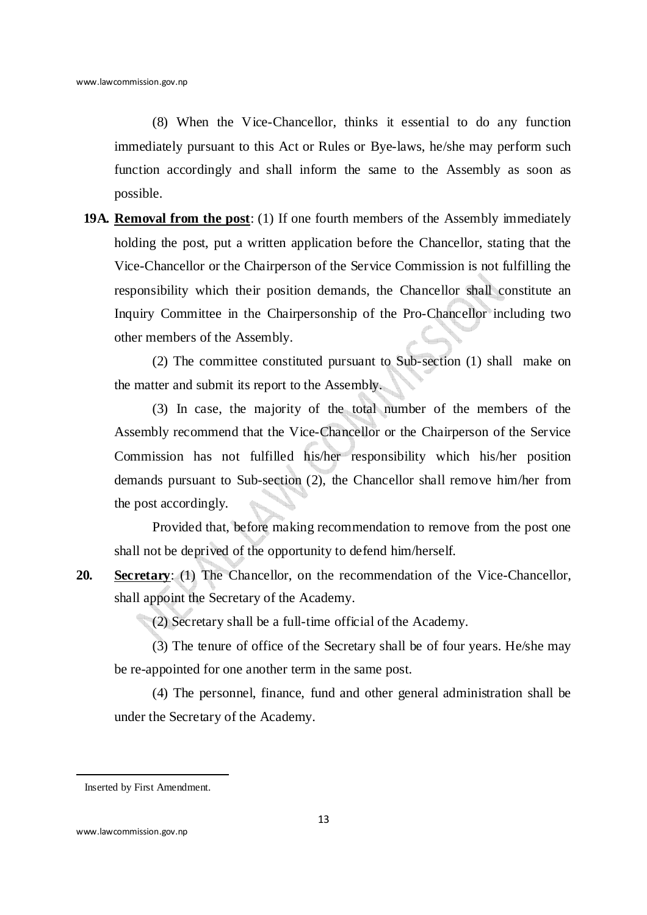(8) When the Vice-Chancellor, thinks it essential to do any function immediately pursuant to this Act or Rules or Bye-laws, he/she may perform such function accordingly and shall inform the same to the Assembly as soon as possible.

 **19A. Removal from the post**: (1) If one fourth members of the Assembly immediately holding the post, put a written application before the Chancellor, stating that the Vice-Chancellor or the Chairperson of the Service Commission is not fulfilling the responsibility which their position demands, the Chancellor shall constitute an Inquiry Committee in the Chairpersonship of the Pro-Chancellor including two other members of the Assembly.

(2) The committee constituted pursuant to Sub-section (1) shall make on the matter and submit its report to the Assembly.

(3) In case, the majority of the total number of the members of the Assembly recommend that the Vice-Chancellor or the Chairperson of the Service Commission has not fulfilled his/her responsibility which his/her position demands pursuant to Sub-section (2), the Chancellor shall remove him/her from the post accordingly.

Provided that, before making recommendation to remove from the post one shall not be deprived of the opportunity to defend him/herself.

**20. Secretary**: (1) The Chancellor, on the recommendation of the Vice-Chancellor, shall appoint the Secretary of the Academy.

(2) Secretary shall be a full-time official of the Academy.

(3) The tenure of office of the Secretary shall be of four years. He/she may be re-appointed for one another term in the same post.

(4) The personnel, finance, fund and other general administration shall be under the Secretary of the Academy.

<sup>®</sup> Inserted by First Amendment.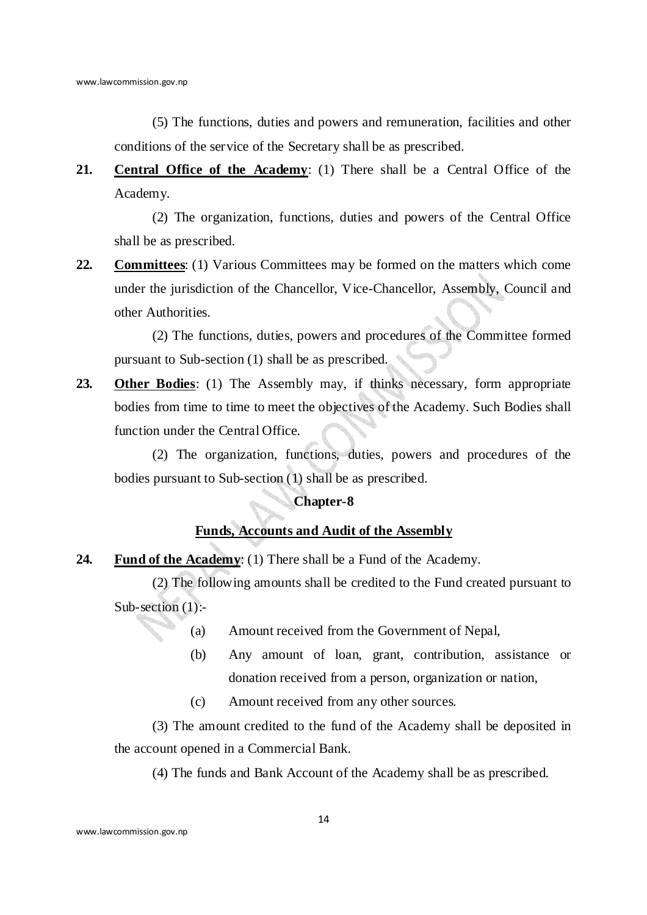(5) The functions, duties and powers and remuneration, facilities and other conditions of the service of the Secretary shall be as prescribed.

**21. Central Office of the Academy**: (1) There shall be a Central Office of the Academy.

(2) The organization, functions, duties and powers of the Central Office shall be as prescribed.

**22. Committees**: (1) Various Committees may be formed on the matters which come under the jurisdiction of the Chancellor, Vice-Chancellor, Assembly, Council and other Authorities.

(2) The functions, duties, powers and procedures of the Committee formed pursuant to Sub-section (1) shall be as prescribed.

**23. Other Bodies**: (1) The Assembly may, if thinks necessary, form appropriate bodies from time to time to meet the objectives of the Academy. Such Bodies shall function under the Central Office.

(2) The organization, functions, duties, powers and procedures of the bodies pursuant to Sub-section (1) shall be as prescribed.

## **Chapter-8**

## **Funds, Accounts and Audit of the Assembly**

**24. Fund of the Academy**: (1) There shall be a Fund of the Academy.

(2) The following amounts shall be credited to the Fund created pursuant to Sub-section (1):-

- (a) Amount received from the Government of Nepal,
- (b) Any amount of loan, grant, contribution, assistance or donation received from a person, organization or nation,
- (c) Amount received from any other sources.

(3) The amount credited to the fund of the Academy shall be deposited in the account opened in a Commercial Bank.

(4) The funds and Bank Account of the Academy shall be as prescribed.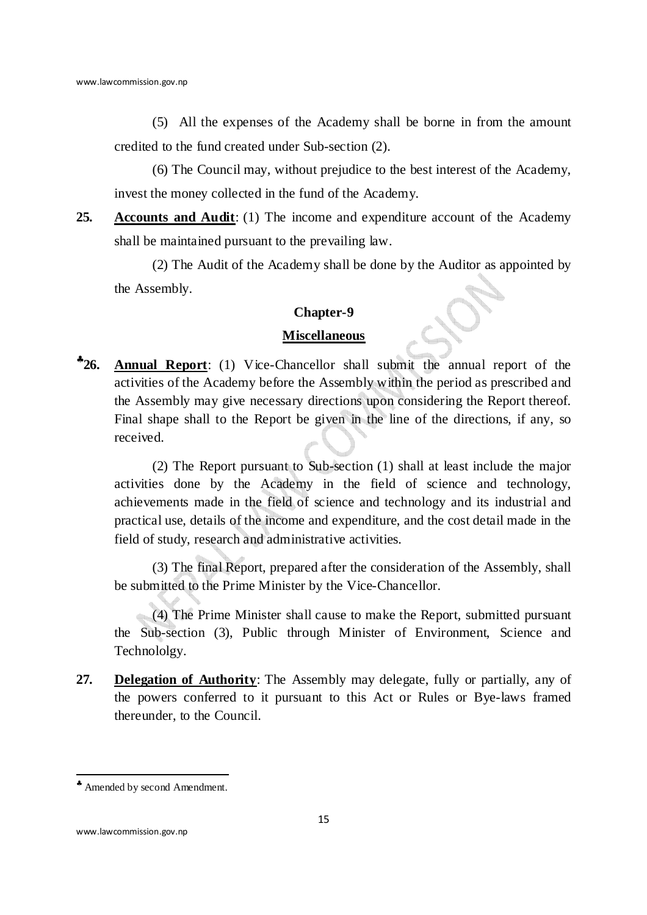(5) All the expenses of the Academy shall be borne in from the amount credited to the fund created under Sub-section (2).

(6) The Council may, without prejudice to the best interest of the Academy, invest the money collected in the fund of the Academy.

**25. Accounts and Audit**: (1) The income and expenditure account of the Academy shall be maintained pursuant to the prevailing law.

(2) The Audit of the Academy shall be done by the Auditor as appointed by the Assembly.

# **Chapter-9**

#### **Miscellaneous**

♣ **26. Annual Report**: (1) Vice-Chancellor shall submit the annual report of the activities of the Academy before the Assembly within the period as prescribed and the Assembly may give necessary directions upon considering the Report thereof. Final shape shall to the Report be given in the line of the directions, if any, so received.

(2) The Report pursuant to Sub-section (1) shall at least include the major activities done by the Academy in the field of science and technology, achievements made in the field of science and technology and its industrial and practical use, details of the income and expenditure, and the cost detail made in the field of study, research and administrative activities.

(3) The final Report, prepared after the consideration of the Assembly, shall be submitted to the Prime Minister by the Vice-Chancellor.

(4) The Prime Minister shall cause to make the Report, submitted pursuant the Sub-section (3), Public through Minister of Environment, Science and Technololgy.

**27. Delegation of Authority**: The Assembly may delegate, fully or partially, any of the powers conferred to it pursuant to this Act or Rules or Bye-laws framed thereunder, to the Council.

<sup>♣</sup> Amended by second Amendment.

www.lawcommission.gov.np